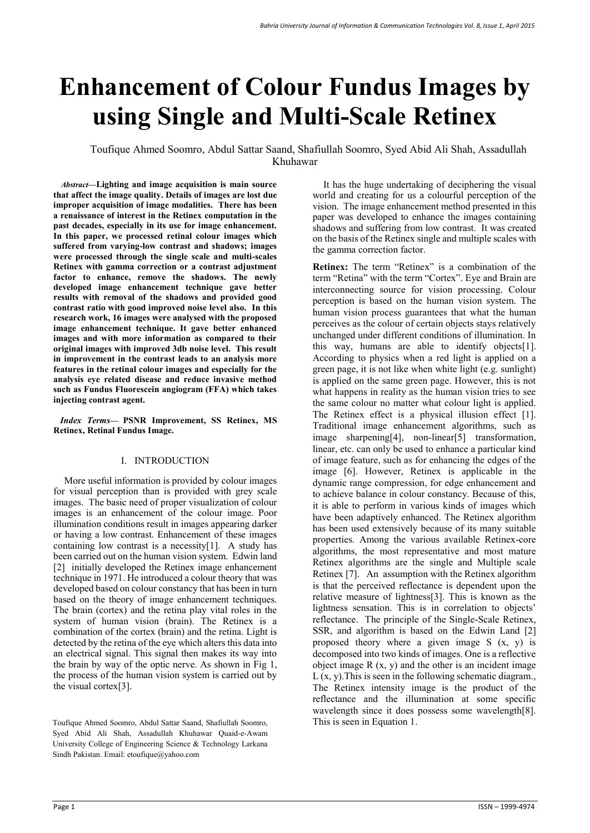# **Enhancement of Colour Fundus Images by using Single and Multi-Scale Retinex**

 Toufique Ahmed Soomro, Abdul Sattar Saand, Shafiullah Soomro, Syed Abid Ali Shah, Assadullah Khuhawar

 *Abstract***—Lighting and image acquisition is main source that affect the image quality. Details of images are lost due improper acquisition of image modalities. There has been a renaissance of interest in the Retinex computation in the past decades, especially in its use for image enhancement. In this paper, we processed retinal colour images which suffered from varying-low contrast and shadows; images were processed through the single scale and multi-scales Retinex with gamma correction or a contrast adjustment factor to enhance, remove the shadows. The newly developed image enhancement technique gave better results with removal of the shadows and provided good contrast ratio with good improved noise level also. In this research work, 16 images were analysed with the proposed image enhancement technique. It gave better enhanced images and with more information as compared to their original images with improved 3db noise level. This result in improvement in the contrast leads to an analysis more features in the retinal colour images and especially for the analysis eye related disease and reduce invasive method such as Fundus Fluorescein angiogram (FFA) which takes injecting contrast agent.** 

 *Index Terms***— PSNR Improvement, SS Retinex, MS Retinex, Retinal Fundus Image.**

## I. INTRODUCTION

More useful information is provided by colour images for visual perception than is provided with grey scale images. The basic need of proper visualization of colour images is an enhancement of the colour image. Poor illumination conditions result in images appearing darker or having a low contrast. Enhancement of these images containing low contrast is a necessity[1]. A study has been carried out on the human vision system. Edwin land [2] initially developed the Retinex image enhancement technique in 1971. He introduced a colour theory that was developed based on colour constancy that has been in turn based on the theory of image enhancement techniques. The brain (cortex) and the retina play vital roles in the system of human vision (brain). The Retinex is a combination of the cortex (brain) and the retina. Light is detected by the retina of the eye which alters this data into an electrical signal. This signal then makes its way into the brain by way of the optic nerve. As shown in Fig 1, the process of the human vision system is carried out by the visual cortex[3].

It has the huge undertaking of deciphering the visual world and creating for us a colourful perception of the vision. The image enhancement method presented in this paper was developed to enhance the images containing shadows and suffering from low contrast. It was created on the basis of the Retinex single and multiple scales with the gamma correction factor.

**Retinex:** The term "Retinex" is a combination of the term "Retina" with the term "Cortex". Eye and Brain are interconnecting source for vision processing. Colour perception is based on the human vision system. The human vision process guarantees that what the human perceives as the colour of certain objects stays relatively unchanged under different conditions of illumination. In this way, humans are able to identify objects[1]. According to physics when a red light is applied on a green page, it is not like when white light (e.g. sunlight) is applied on the same green page. However, this is not what happens in reality as the human vision tries to see the same colour no matter what colour light is applied. The Retinex effect is a physical illusion effect [1]. Traditional image enhancement algorithms, such as image sharpening[4], non-linear[5] transformation, linear, etc. can only be used to enhance a particular kind of image feature, such as for enhancing the edges of the image [6]. However, Retinex is applicable in the dynamic range compression, for edge enhancement and to achieve balance in colour constancy. Because of this, it is able to perform in various kinds of images which have been adaptively enhanced. The Retinex algorithm has been used extensively because of its many suitable properties. Among the various available Retinex-core algorithms, the most representative and most mature Retinex algorithms are the single and Multiple scale Retinex [7]. An assumption with the Retinex algorithm is that the perceived reflectance is dependent upon the relative measure of lightness[3]. This is known as the lightness sensation. This is in correlation to objects' reflectance. The principle of the Single-Scale Retinex, SSR, and algorithm is based on the Edwin Land [2] proposed theory where a given image S (x, y) is decomposed into two kinds of images. One is a reflective object image  $R(x, y)$  and the other is an incident image  $L(x, y)$ . This is seen in the following schematic diagram., The Retinex intensity image is the product of the reflectance and the illumination at some specific wavelength since it does possess some wavelength[8].

Toufique Ahmed Soomro, Abdul Sattar Saand, Shafiullah Soomro, This is seen in Equation 1. Syed Abid Ali Shah, Assadullah Khuhawar Quaid-e-Awam University College of Engineering Science & Technology Larkana Sindh Pakistan. Email: etoufique@yahoo.com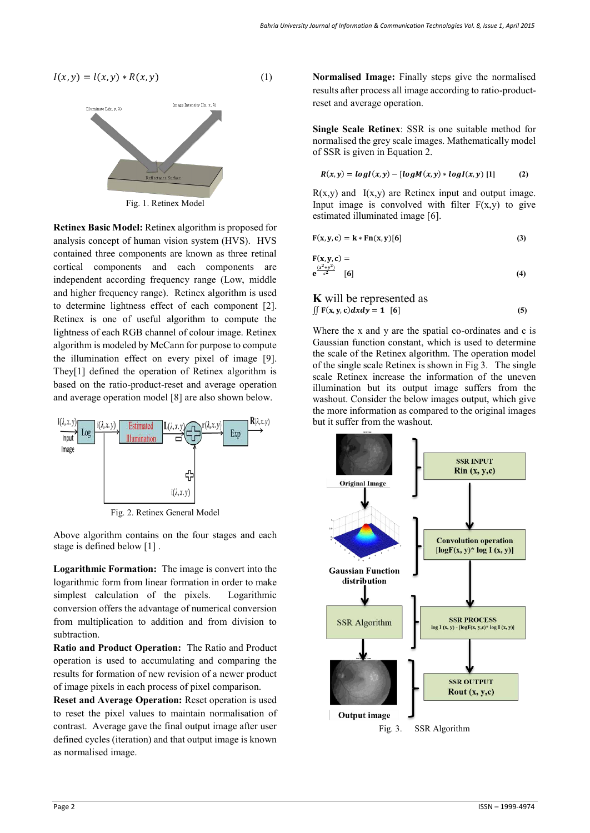$I(x, y) = l(x, y) * R(x, y)$  (1)



Fig. 1. Retinex Model

**Retinex Basic Model:** Retinex algorithm is proposed for analysis concept of human vision system (HVS). HVS contained three components are known as three retinal cortical components and each components are independent according frequency range (Low, middle and higher frequency range). Retinex algorithm is used to determine lightness effect of each component [2]. Retinex is one of useful algorithm to compute the lightness of each RGB channel of colour image. Retinex algorithm is modeled by McCann for purpose to compute the illumination effect on every pixel of image [9]. They[1] defined the operation of Retinex algorithm is based on the ratio-product-reset and average operation and average operation model [8] are also shown below.



Fig. 2. Retinex General Model

Above algorithm contains on the four stages and each stage is defined below [1] .

**Logarithmic Formation:** The image is convert into the logarithmic form from linear formation in order to make simplest calculation of the pixels. Logarithmic conversion offers the advantage of numerical conversion from multiplication to addition and from division to subtraction.

**Ratio and Product Operation:** The Ratio and Product operation is used to accumulating and comparing the results for formation of new revision of a newer product of image pixels in each process of pixel comparison.

**Reset and Average Operation:** Reset operation is used to reset the pixel values to maintain normalisation of contrast. Average gave the final output image after user defined cycles (iteration) and that output image is known as normalised image.

**Normalised Image:** Finally steps give the normalised results after process all image according to ratio-productreset and average operation.

**Single Scale Retinex**: SSR is one suitable method for normalised the grey scale images. Mathematically model of SSR is given in Equation 2.

$$
R(x,y) = logI(x,y) - [logM(x,y) * logI(x,y) [1]
$$
 (2)

 $R(x,y)$  and  $I(x,y)$  are Retinex input and output image. Input image is convolved with filter  $F(x,y)$  to give estimated illuminated image [6].

$$
F(x, y, c) = k * Fn(x, y)[6]
$$
 (3)

$$
\mathbf{F}(\mathbf{x}, \mathbf{y}, \mathbf{c}) =
$$
\n
$$
\mathbf{e}^{\frac{(x^2 + y^2)}{c^2}}
$$
 [6] (4)

**K** will be represented as 
$$
\iint F(x, y, c) dxdy = 1
$$
 [6] (5)

Where the x and y are the spatial co-ordinates and c is Gaussian function constant, which is used to determine the scale of the Retinex algorithm. The operation model of the single scale Retinex is shown in Fig 3. The single scale Retinex increase the information of the uneven illumination but its output image suffers from the washout. Consider the below images output, which give the more information as compared to the original images but it suffer from the washout.

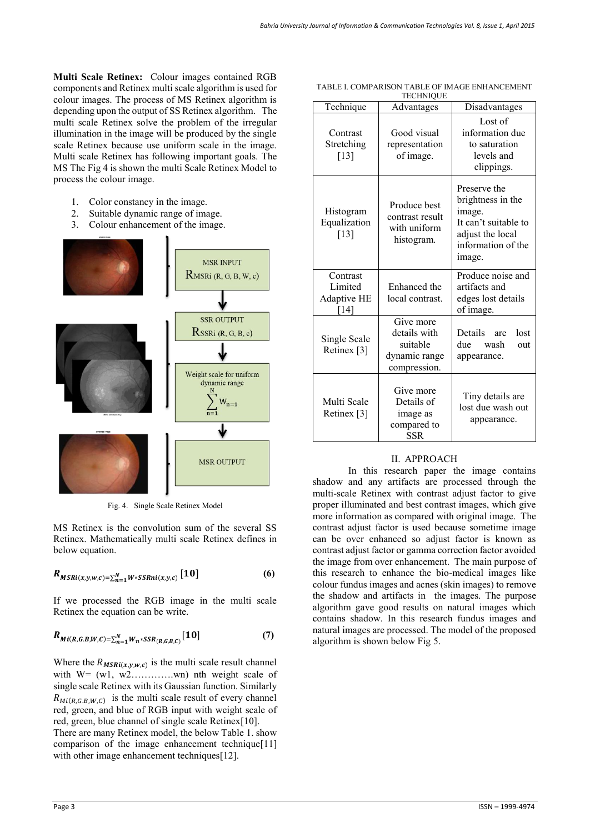**Multi Scale Retinex:** Colour images contained RGB components and Retinex multi scale algorithm is used for colour images. The process of MS Retinex algorithm is depending upon the output of SS Retinex algorithm. The multi scale Retinex solve the problem of the irregular illumination in the image will be produced by the single scale Retinex because use uniform scale in the image. Multi scale Retinex has following important goals. The MS The Fig 4 is shown the multi Scale Retinex Model to process the colour image.

- 1. Color constancy in the image.
- 2. Suitable dynamic range of image.
- 3. Colour enhancement of the image.



Fig. 4. Single Scale Retinex Model

MS Retinex is the convolution sum of the several SS Retinex. Mathematically multi scale Retinex defines in below equation.

$$
R_{MSRi(x,y,w,c)=\sum_{n=1}^{N}W*SSRni(x,y,c)}[10]
$$
 (6)

If we processed the RGB image in the multi scale Retinex the equation can be write.

$$
R_{Mi(R,G.B,W,C)=\sum_{n=1}^{N}W_n*SSR_{(R,G,B,C)}}[10]
$$
 (7)

Where the  $R_{MSRi(x,y,w,c)}$  is the multi scale result channel with  $W = (w1, w2......wn)$  nth weight scale of single scale Retinex with its Gaussian function. Similarly  $R_{Mi(R,G,B,W,C)}$  is the multi scale result of every channel red, green, and blue of RGB input with weight scale of red, green, blue channel of single scale Retinex[10]. There are many Retinex model, the below Table 1. show comparison of the image enhancement technique<sup>[11]</sup> with other image enhancement techniques[12].

| Technique                                  | .<br>Advantages                                                        | Disadvantages                                                                                                           |
|--------------------------------------------|------------------------------------------------------------------------|-------------------------------------------------------------------------------------------------------------------------|
| Contrast<br>Stretching<br>$[13]$           | Good visual<br>representation<br>of image.                             | Lost of<br>information due<br>to saturation<br>levels and<br>clippings.                                                 |
| Histogram<br>Equalization<br>$[13]$        | Produce best<br>contrast result<br>with uniform<br>histogram.          | Preserve the<br>brightness in the<br>image.<br>It can't suitable to<br>adjust the local<br>information of the<br>image. |
| Contrast<br>Limited<br>Adaptive HE<br>[14] | Enhanced the<br>local contrast.                                        | Produce noise and<br>artifacts and<br>edges lost details<br>of image.                                                   |
| Single Scale<br>Retinex <sup>[3]</sup>     | Give more<br>details with<br>suitable<br>dynamic range<br>compression. | Details are<br>lost<br>due<br>wash<br>out<br>appearance.                                                                |
| Multi Scale<br>Retinex <sup>[3]</sup>      | Give more<br>Details of<br>image as<br>compared to<br><b>SSR</b>       | Tiny details are<br>lost due wash out<br>appearance.                                                                    |

#### TABLE I. COMPARISON TABLE OF IMAGE ENHANCEMENT TECHNIQUE

## II. APPROACH

 In this research paper the image contains shadow and any artifacts are processed through the multi-scale Retinex with contrast adjust factor to give proper illuminated and best contrast images, which give more information as compared with original image. The contrast adjust factor is used because sometime image can be over enhanced so adjust factor is known as contrast adjust factor or gamma correction factor avoided the image from over enhancement. The main purpose of this research to enhance the bio-medical images like colour fundus images and acnes (skin images) to remove the shadow and artifacts in the images. The purpose algorithm gave good results on natural images which contains shadow. In this research fundus images and natural images are processed. The model of the proposed algorithm is shown below Fig 5.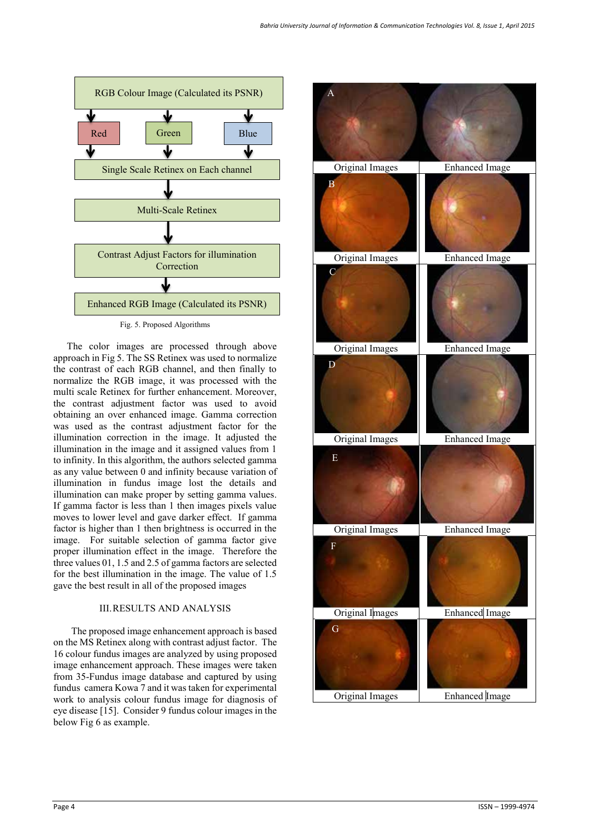

The color images are processed through above approach in Fig 5. The SS Retinex was used to normalize the contrast of each RGB channel, and then finally to normalize the RGB image, it was processed with the multi scale Retinex for further enhancement. Moreover, the contrast adjustment factor was used to avoid obtaining an over enhanced image. Gamma correction was used as the contrast adjustment factor for the illumination correction in the image. It adjusted the illumination in the image and it assigned values from 1 to infinity. In this algorithm, the authors selected gamma as any value between 0 and infinity because variation of illumination in fundus image lost the details and illumination can make proper by setting gamma values. If gamma factor is less than 1 then images pixels value moves to lower level and gave darker effect. If gamma factor is higher than 1 then brightness is occurred in the image. For suitable selection of gamma factor give proper illumination effect in the image. Therefore the three values 01, 1.5 and 2.5 of gamma factors are selected for the best illumination in the image. The value of 1.5 gave the best result in all of the proposed images

## III.RESULTS AND ANALYSIS

The proposed image enhancement approach is based on the MS Retinex along with contrast adjust factor. The 16 colour fundus images are analyzed by using proposed image enhancement approach. These images were taken from 35-Fundus image database and captured by using fundus camera Kowa 7 and it was taken for experimental work to analysis colour fundus image for diagnosis of eye disease [15]. Consider 9 fundus colour images in the below Fig 6 as example.

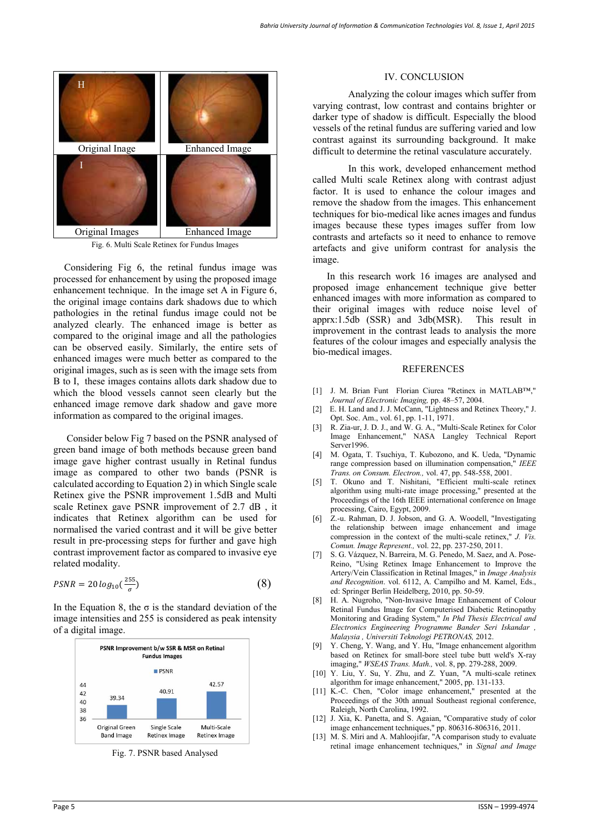

Fig. 6. Multi Scale Retinex for Fundus Images

Considering Fig 6, the retinal fundus image was processed for enhancement by using the proposed image enhancement technique. In the image set A in Figure 6, the original image contains dark shadows due to which pathologies in the retinal fundus image could not be analyzed clearly. The enhanced image is better as compared to the original image and all the pathologies can be observed easily. Similarly, the entire sets of enhanced images were much better as compared to the original images, such as is seen with the image sets from B to I, these images contains allots dark shadow due to which the blood vessels cannot seen clearly but the enhanced image remove dark shadow and gave more information as compared to the original images.

 Consider below Fig 7 based on the PSNR analysed of green band image of both methods because green band image gave higher contrast usually in Retinal fundus image as compared to other two bands (PSNR is calculated according to Equation 2) in which Single scale Retinex give the PSNR improvement 1.5dB and Multi scale Retinex gave PSNR improvement of 2.7 dB , it indicates that Retinex algorithm can be used for normalised the varied contrast and it will be give better result in pre-processing steps for further and gave high contrast improvement factor as compared to invasive eye related modality.

$$
PSNR = 20\log_{10}(\frac{255}{\sigma})
$$
\n(8)

In the Equation 8, the  $\sigma$  is the standard deviation of the image intensities and 255 is considered as peak intensity of a digital image.



Fig. 7. PSNR based Analysed

### IV. CONCLUSION

 Analyzing the colour images which suffer from varying contrast, low contrast and contains brighter or darker type of shadow is difficult. Especially the blood vessels of the retinal fundus are suffering varied and low contrast against its surrounding background. It make difficult to determine the retinal vasculature accurately.

In this work, developed enhancement method called Multi scale Retinex along with contrast adjust factor. It is used to enhance the colour images and remove the shadow from the images. This enhancement techniques for bio-medical like acnes images and fundus images because these types images suffer from low contrasts and artefacts so it need to enhance to remove artefacts and give uniform contrast for analysis the image.

In this research work 16 images are analysed and proposed image enhancement technique give better enhanced images with more information as compared to their original images with reduce noise level of apprx:1.5db (SSR) and 3db(MSR). This result in apprx:1.5db  $(SSR)$  and 3db $(MSR)$ . improvement in the contrast leads to analysis the more features of the colour images and especially analysis the bio-medical images.

### REFERENCES

- [1] J. M. Brian Funt Florian Ciurea "Retinex in MATLAB™," *Journal of Electronic Imaging,* pp. 48–57, 2004.
- [2] E. H. Land and J. J. McCann, "Lightness and Retinex Theory," J. Opt. Soc. Am., vol. 61, pp. 1-11, 1971.
- [3] R. Zia-ur, J. D. J., and W. G. A., "Multi-Scale Retinex for Color Image Enhancement," NASA Langley Technical Report Server1996.
- [4] M. Ogata, T. Tsuchiya, T. Kubozono, and K. Ueda, "Dynamic range compression based on illumination compensation," *IEEE Trans. on Consum. Electron.,* vol. 47, pp. 548-558, 2001.
- [5] T. Okuno and T. Nishitani, "Efficient multi-scale retinex algorithm using multi-rate image processing," presented at the Proceedings of the 16th IEEE international conference on Image processing, Cairo, Egypt, 2009.
- [6] Z.-u. Rahman, D. J. Jobson, and G. A. Woodell, "Investigating the relationship between image enhancement and image compression in the context of the multi-scale retinex," *J. Vis. Comun. Image Represent.,* vol. 22, pp. 237-250, 2011.
- [7] S. G. Vázquez, N. Barreira, M. G. Penedo, M. Saez, and A. Pose-Reino, "Using Retinex Image Enhancement to Improve the Artery/Vein Classification in Retinal Images," in *Image Analysis and Recognition*. vol. 6112, A. Campilho and M. Kamel, Eds., ed: Springer Berlin Heidelberg, 2010, pp. 50-59.
- [8] H. A. Nugroho, "Non-Invasive Image Enhancement of Colour Retinal Fundus Image for Computerised Diabetic Retinopathy Monitoring and Grading System," *In Phd Thesis Electrical and Electronics Engineering Programme Bander Seri Iskandar , Malaysia , Universiti Teknologi PETRONAS,* 2012.
- [9] Y. Cheng, Y. Wang, and Y. Hu, "Image enhancement algorithm based on Retinex for small-bore steel tube butt weld's X-ray imaging," *WSEAS Trans. Math.,* vol. 8, pp. 279-288, 2009.
- [10] Y. Liu, Y. Su, Y. Zhu, and Z. Yuan, "A multi-scale retinex algorithm for image enhancement," 2005, pp. 131-133.
- [11] K.-C. Chen, "Color image enhancement," presented at the Proceedings of the 30th annual Southeast regional conference, Raleigh, North Carolina, 1992.
- [12] J. Xia, K. Panetta, and S. Agaian, "Comparative study of color image enhancement techniques," pp. 806316-806316, 2011.
- [13] M. S. Miri and A. Mahloojifar, "A comparison study to evaluate retinal image enhancement techniques," in *Signal and Image*